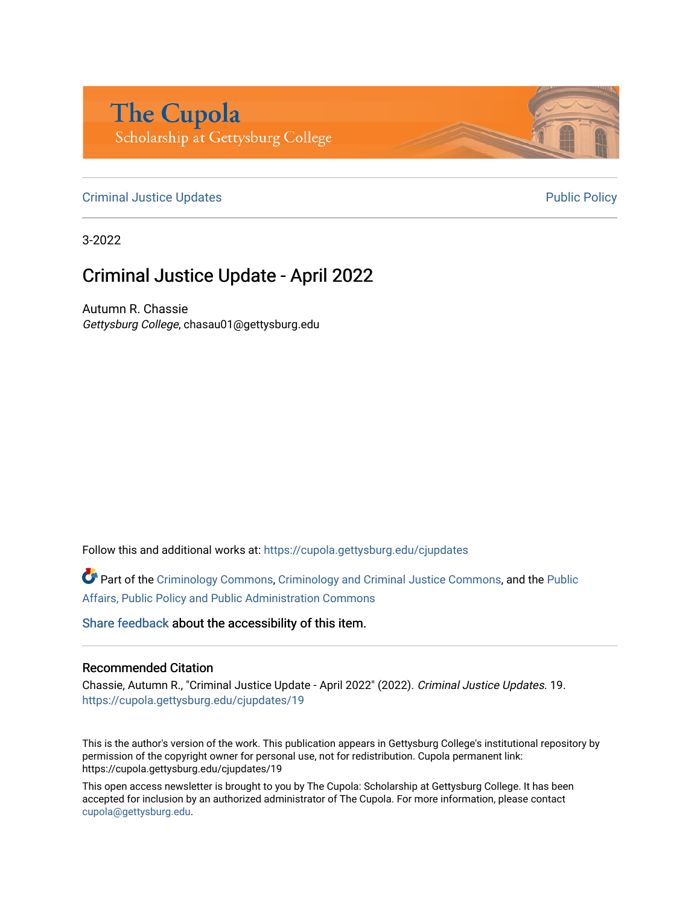## **The Cupola** Scholarship at Gettysburg College

## [Criminal Justice Updates](https://cupola.gettysburg.edu/cjupdates) **Public Policy Public Policy Public Policy Public Policy**

3-2022

## Criminal Justice Update - April 2022

Autumn R. Chassie Gettysburg College, chasau01@gettysburg.edu

Follow this and additional works at: [https://cupola.gettysburg.edu/cjupdates](https://cupola.gettysburg.edu/cjupdates?utm_source=cupola.gettysburg.edu%2Fcjupdates%2F19&utm_medium=PDF&utm_campaign=PDFCoverPages) 

Part of the [Criminology Commons](http://network.bepress.com/hgg/discipline/417?utm_source=cupola.gettysburg.edu%2Fcjupdates%2F19&utm_medium=PDF&utm_campaign=PDFCoverPages), [Criminology and Criminal Justice Commons,](http://network.bepress.com/hgg/discipline/367?utm_source=cupola.gettysburg.edu%2Fcjupdates%2F19&utm_medium=PDF&utm_campaign=PDFCoverPages) and the [Public](http://network.bepress.com/hgg/discipline/393?utm_source=cupola.gettysburg.edu%2Fcjupdates%2F19&utm_medium=PDF&utm_campaign=PDFCoverPages) [Affairs, Public Policy and Public Administration Commons](http://network.bepress.com/hgg/discipline/393?utm_source=cupola.gettysburg.edu%2Fcjupdates%2F19&utm_medium=PDF&utm_campaign=PDFCoverPages)

[Share feedback](https://docs.google.com/a/bepress.com/forms/d/1h9eEcpBPj5POs5oO6Y5A0blXRmZqykoonyYiZUNyEq8/viewform) about the accessibility of this item.

## Recommended Citation

Chassie, Autumn R., "Criminal Justice Update - April 2022" (2022). Criminal Justice Updates. 19. [https://cupola.gettysburg.edu/cjupdates/19](https://cupola.gettysburg.edu/cjupdates/19?utm_source=cupola.gettysburg.edu%2Fcjupdates%2F19&utm_medium=PDF&utm_campaign=PDFCoverPages)

This is the author's version of the work. This publication appears in Gettysburg College's institutional repository by permission of the copyright owner for personal use, not for redistribution. Cupola permanent link: https://cupola.gettysburg.edu/cjupdates/19

This open access newsletter is brought to you by The Cupola: Scholarship at Gettysburg College. It has been accepted for inclusion by an authorized administrator of The Cupola. For more information, please contact [cupola@gettysburg.edu.](mailto:cupola@gettysburg.edu)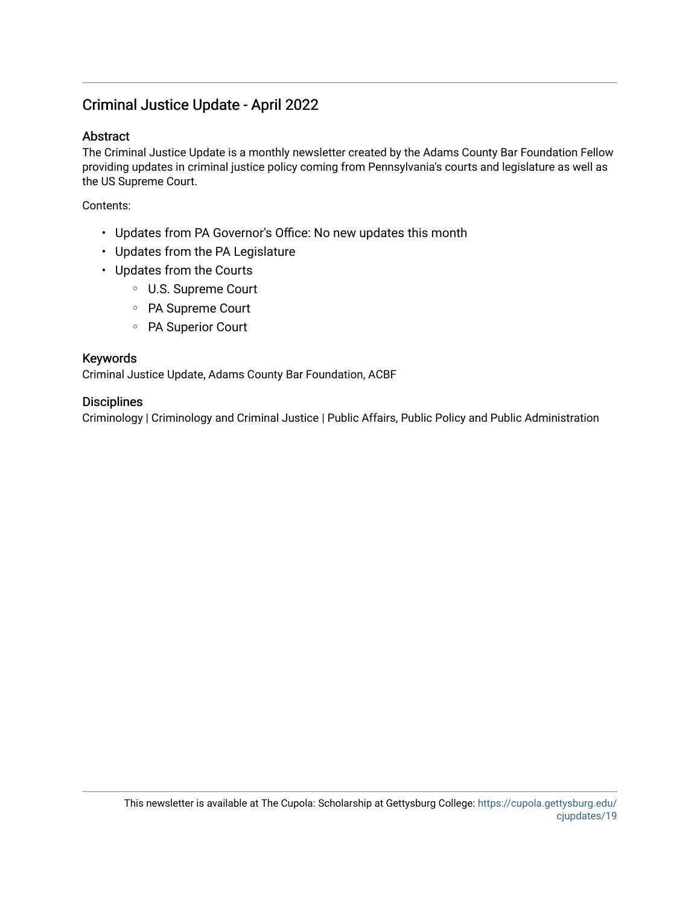## Criminal Justice Update - April 2022

## Abstract

The Criminal Justice Update is a monthly newsletter created by the Adams County Bar Foundation Fellow providing updates in criminal justice policy coming from Pennsylvania's courts and legislature as well as the US Supreme Court.

Contents:

- Updates from PA Governor's Office: No new updates this month
- Updates from the PA Legislature
- Updates from the Courts
	- U.S. Supreme Court
	- PA Supreme Court
	- PA Superior Court

## Keywords

Criminal Justice Update, Adams County Bar Foundation, ACBF

## **Disciplines**

Criminology | Criminology and Criminal Justice | Public Affairs, Public Policy and Public Administration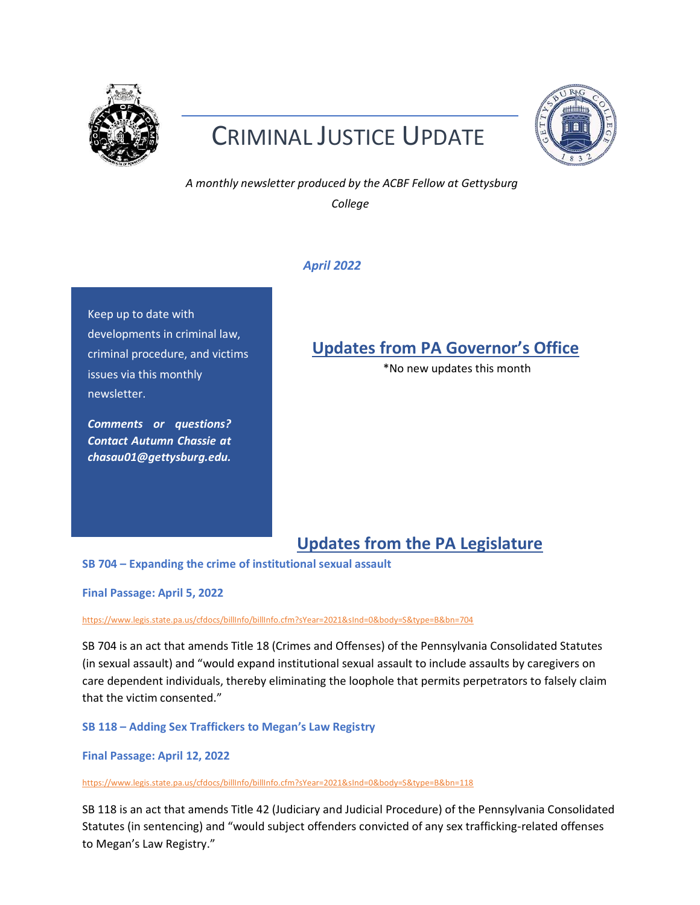

# CRIMINAL JUSTICE UPDATE



*A monthly newsletter produced by the ACBF Fellow at Gettysburg College* 

## *April 2022*

Keep up to date with developments in criminal law, criminal procedure, and victims issues via this monthly newsletter.

*Comments or questions? Contact Autumn Chassie at chasau01@gettysburg.edu.* 

## **Updates from PA Governor's Office**

\*No new updates this month

## **Updates from the PA Legislature**

**SB 704 – Expanding the crime of institutional sexual assault**

**Final Passage: April 5, 2022** 

<https://www.legis.state.pa.us/cfdocs/billInfo/billInfo.cfm?sYear=2021&sInd=0&body=S&type=B&bn=704>

SB 704 is an act that amends Title 18 (Crimes and Offenses) of the Pennsylvania Consolidated Statutes (in sexual assault) and "would expand institutional sexual assault to include assaults by caregivers on care dependent individuals, thereby eliminating the loophole that permits perpetrators to falsely claim that the victim consented."

**SB 118 – Adding Sex Traffickers to Megan's Law Registry**

**Final Passage: April 12, 2022** 

<https://www.legis.state.pa.us/cfdocs/billInfo/billInfo.cfm?sYear=2021&sInd=0&body=S&type=B&bn=118>

SB 118 is an act that amends Title 42 (Judiciary and Judicial Procedure) of the Pennsylvania Consolidated Statutes (in sentencing) and "would subject offenders convicted of any sex trafficking-related offenses to Megan's Law Registry."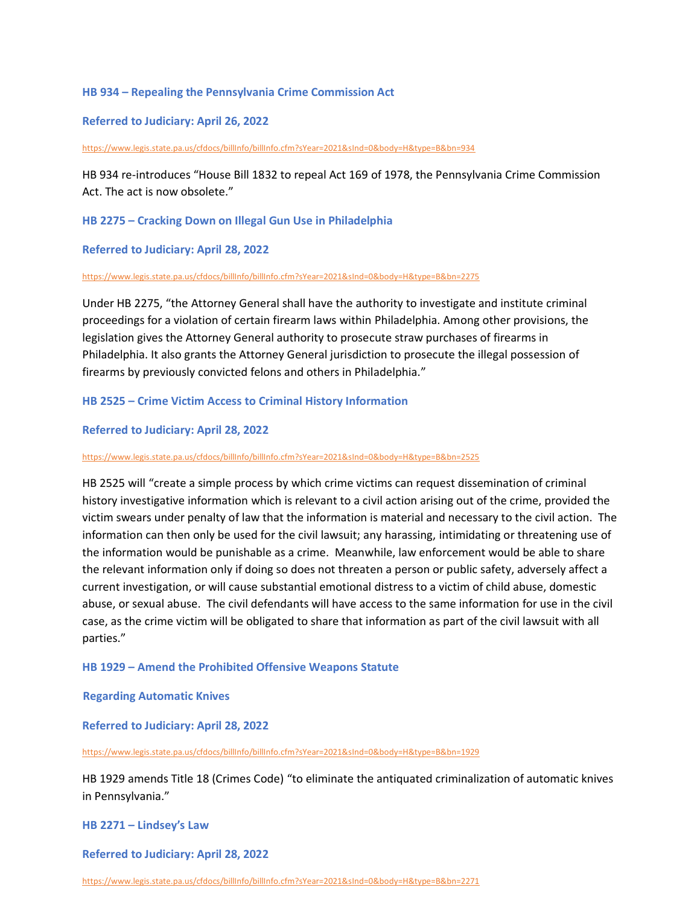### **HB 934 – Repealing the Pennsylvania Crime Commission Act**

**Referred to Judiciary: April 26, 2022**

<https://www.legis.state.pa.us/cfdocs/billInfo/billInfo.cfm?sYear=2021&sInd=0&body=H&type=B&bn=934>

HB 934 re-introduces "House Bill 1832 to repeal Act 169 of 1978, the Pennsylvania Crime Commission Act. The act is now obsolete."

**HB 2275 – Cracking Down on Illegal Gun Use in Philadelphia**

**Referred to Judiciary: April 28, 2022**

#### <https://www.legis.state.pa.us/cfdocs/billInfo/billInfo.cfm?sYear=2021&sInd=0&body=H&type=B&bn=2275>

Under HB 2275, "the Attorney General shall have the authority to investigate and institute criminal proceedings for a violation of certain firearm laws within Philadelphia. Among other provisions, the legislation gives the Attorney General authority to prosecute straw purchases of firearms in Philadelphia. It also grants the Attorney General jurisdiction to prosecute the illegal possession of firearms by previously convicted felons and others in Philadelphia."

**HB 2525 – Crime Victim Access to Criminal History Information**

#### **Referred to Judiciary: April 28, 2022**

<https://www.legis.state.pa.us/cfdocs/billInfo/billInfo.cfm?sYear=2021&sInd=0&body=H&type=B&bn=2525>

HB 2525 will "create a simple process by which crime victims can request dissemination of criminal history investigative information which is relevant to a civil action arising out of the crime, provided the victim swears under penalty of law that the information is material and necessary to the civil action. The information can then only be used for the civil lawsuit; any harassing, intimidating or threatening use of the information would be punishable as a crime. Meanwhile, law enforcement would be able to share the relevant information only if doing so does not threaten a person or public safety, adversely affect a current investigation, or will cause substantial emotional distress to a victim of child abuse, domestic abuse, or sexual abuse. The civil defendants will have access to the same information for use in the civil case, as the crime victim will be obligated to share that information as part of the civil lawsuit with all parties."

#### **HB 1929 – Amend the Prohibited Offensive Weapons Statute**

**Regarding Automatic Knives**

**Referred to Judiciary: April 28, 2022**

<https://www.legis.state.pa.us/cfdocs/billInfo/billInfo.cfm?sYear=2021&sInd=0&body=H&type=B&bn=1929>

HB 1929 amends Title 18 (Crimes Code) "to eliminate the antiquated criminalization of automatic knives in Pennsylvania."

**HB 2271 – Lindsey's Law** 

**Referred to Judiciary: April 28, 2022**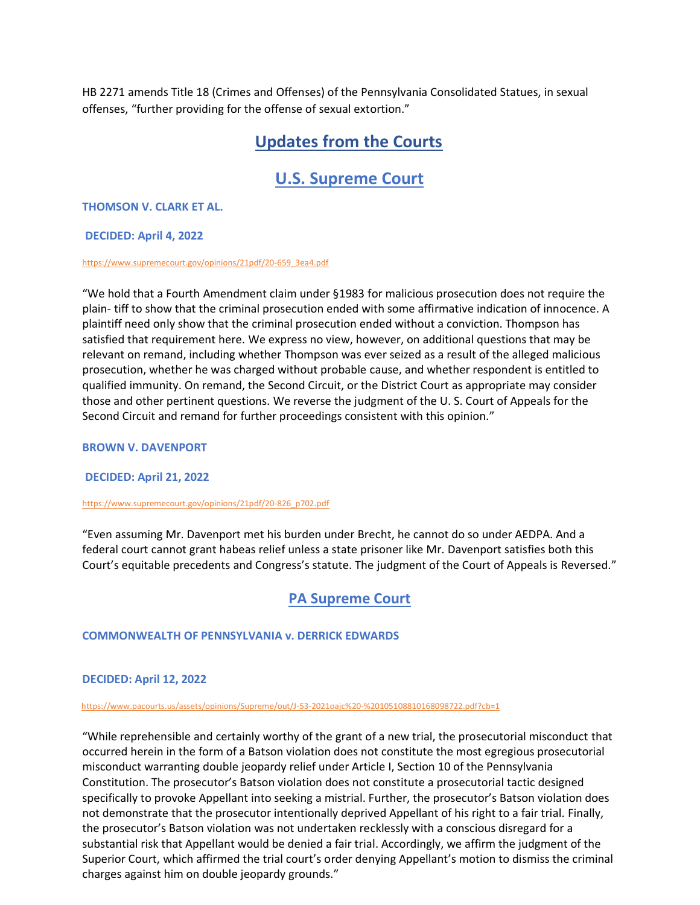HB 2271 amends Title 18 (Crimes and Offenses) of the Pennsylvania Consolidated Statues, in sexual offenses, "further providing for the offense of sexual extortion."

## **Updates from the Courts**

## **U.S. Supreme Court**

### **THOMSON V. CLARK ET AL.**

#### **DECIDED: April 4, 2022**

#### [https://www.supremecourt.gov/opinions/21pdf/20-659\\_3ea4.pdf](https://www.supremecourt.gov/opinions/21pdf/20-659_3ea4.pdf)

"We hold that a Fourth Amendment claim under §1983 for malicious prosecution does not require the plain- tiff to show that the criminal prosecution ended with some affirmative indication of innocence. A plaintiff need only show that the criminal prosecution ended without a conviction. Thompson has satisfied that requirement here. We express no view, however, on additional questions that may be relevant on remand, including whether Thompson was ever seized as a result of the alleged malicious prosecution, whether he was charged without probable cause, and whether respondent is entitled to qualified immunity. On remand, the Second Circuit, or the District Court as appropriate may consider those and other pertinent questions. We reverse the judgment of the U. S. Court of Appeals for the Second Circuit and remand for further proceedings consistent with this opinion."

#### **BROWN V. DAVENPORT**

### **DECIDED: April 21, 2022**

#### [https://www.supremecourt.gov/opinions/21pdf/20-826\\_p702.pdf](https://www.supremecourt.gov/opinions/21pdf/20-826_p702.pdf)

"Even assuming Mr. Davenport met his burden under Brecht, he cannot do so under AEDPA. And a federal court cannot grant habeas relief unless a state prisoner like Mr. Davenport satisfies both this Court's equitable precedents and Congress's statute. The judgment of the Court of Appeals is Reversed."

## **PA Supreme Court**

### **COMMONWEALTH OF PENNSYLVANIA v. DERRICK EDWARDS**

### **DECIDED: April 12, 2022**

#### <https://www.pacourts.us/assets/opinions/Supreme/out/J-53-2021oajc%20-%20105108810168098722.pdf?cb=1>

"While reprehensible and certainly worthy of the grant of a new trial, the prosecutorial misconduct that occurred herein in the form of a Batson violation does not constitute the most egregious prosecutorial misconduct warranting double jeopardy relief under Article I, Section 10 of the Pennsylvania Constitution. The prosecutor's Batson violation does not constitute a prosecutorial tactic designed specifically to provoke Appellant into seeking a mistrial. Further, the prosecutor's Batson violation does not demonstrate that the prosecutor intentionally deprived Appellant of his right to a fair trial. Finally, the prosecutor's Batson violation was not undertaken recklessly with a conscious disregard for a substantial risk that Appellant would be denied a fair trial. Accordingly, we affirm the judgment of the Superior Court, which affirmed the trial court's order denying Appellant's motion to dismiss the criminal charges against him on double jeopardy grounds."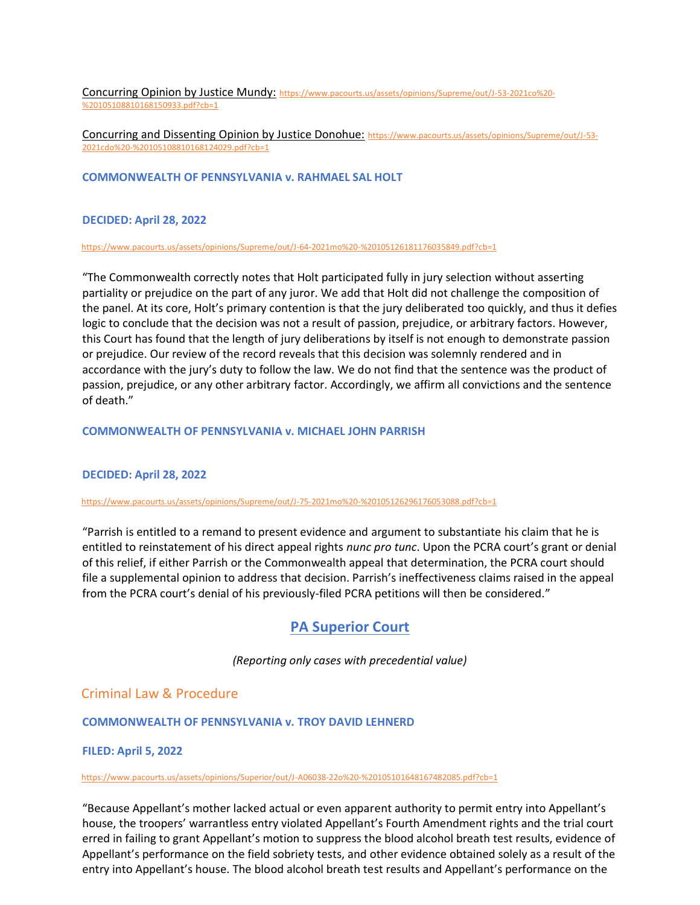Concurring Opinion by Justice Mundy: [https://www.pacourts.us/assets/opinions/Supreme/out/J-53-2021co%20-](https://www.pacourts.us/assets/opinions/Supreme/out/J-53-2021co%20-%20105108810168150933.pdf?cb=1) [%20105108810168150933.pdf?cb=1](https://www.pacourts.us/assets/opinions/Supreme/out/J-53-2021co%20-%20105108810168150933.pdf?cb=1)

Concurring and Dissenting Opinion by Justice Donohue: [https://www.pacourts.us/assets/opinions/Supreme/out/J-53-](https://www.pacourts.us/assets/opinions/Supreme/out/J-53-2021cdo%20-%20105108810168124029.pdf?cb=1) [2021cdo%20-%20105108810168124029.pdf?cb=1](https://www.pacourts.us/assets/opinions/Supreme/out/J-53-2021cdo%20-%20105108810168124029.pdf?cb=1)

#### **COMMONWEALTH OF PENNSYLVANIA v. RAHMAEL SAL HOLT**

#### **DECIDED: April 28, 2022**

<https://www.pacourts.us/assets/opinions/Supreme/out/J-64-2021mo%20-%20105126181176035849.pdf?cb=1>

"The Commonwealth correctly notes that Holt participated fully in jury selection without asserting partiality or prejudice on the part of any juror. We add that Holt did not challenge the composition of the panel. At its core, Holt's primary contention is that the jury deliberated too quickly, and thus it defies logic to conclude that the decision was not a result of passion, prejudice, or arbitrary factors. However, this Court has found that the length of jury deliberations by itself is not enough to demonstrate passion or prejudice. Our review of the record reveals that this decision was solemnly rendered and in accordance with the jury's duty to follow the law. We do not find that the sentence was the product of passion, prejudice, or any other arbitrary factor. Accordingly, we affirm all convictions and the sentence of death."

#### **COMMONWEALTH OF PENNSYLVANIA v. MICHAEL JOHN PARRISH**

#### **DECIDED: April 28, 2022**

#### <https://www.pacourts.us/assets/opinions/Supreme/out/J-75-2021mo%20-%20105126296176053088.pdf?cb=1>

"Parrish is entitled to a remand to present evidence and argument to substantiate his claim that he is entitled to reinstatement of his direct appeal rights *nunc pro tunc*. Upon the PCRA court's grant or denial of this relief, if either Parrish or the Commonwealth appeal that determination, the PCRA court should file a supplemental opinion to address that decision. Parrish's ineffectiveness claims raised in the appeal from the PCRA court's denial of his previously-filed PCRA petitions will then be considered."

## **PA Superior Court**

*(Reporting only cases with precedential value)* 

## Criminal Law & Procedure

#### **COMMONWEALTH OF PENNSYLVANIA v. TROY DAVID LEHNERD**

#### **FILED: April 5, 2022**

#### <https://www.pacourts.us/assets/opinions/Superior/out/J-A06038-22o%20-%20105101648167482085.pdf?cb=1>

"Because Appellant's mother lacked actual or even apparent authority to permit entry into Appellant's house, the troopers' warrantless entry violated Appellant's Fourth Amendment rights and the trial court erred in failing to grant Appellant's motion to suppress the blood alcohol breath test results, evidence of Appellant's performance on the field sobriety tests, and other evidence obtained solely as a result of the entry into Appellant's house. The blood alcohol breath test results and Appellant's performance on the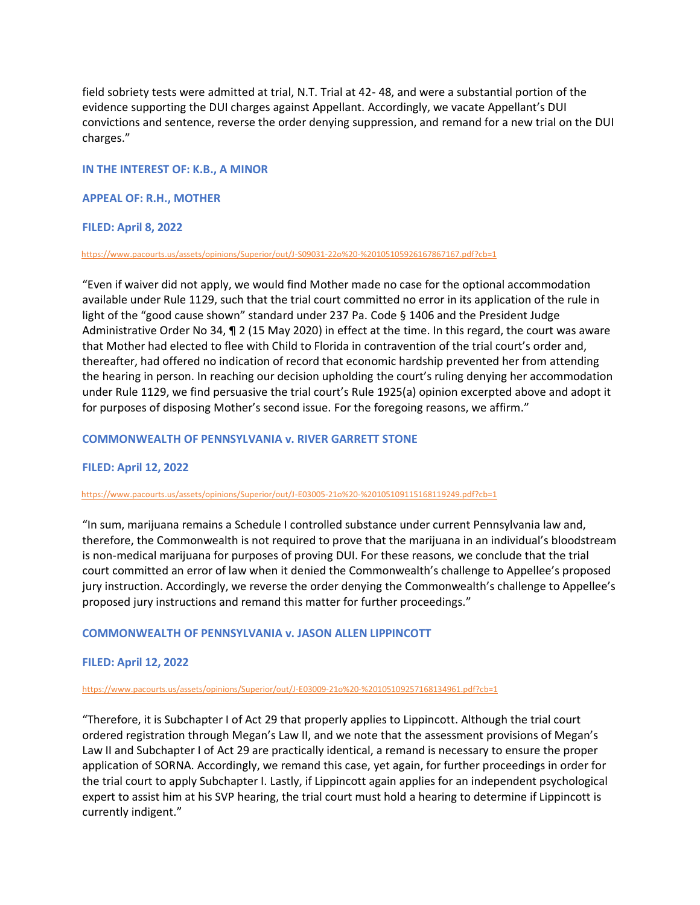field sobriety tests were admitted at trial, N.T. Trial at 42- 48, and were a substantial portion of the evidence supporting the DUI charges against Appellant. Accordingly, we vacate Appellant's DUI convictions and sentence, reverse the order denying suppression, and remand for a new trial on the DUI charges."

#### **IN THE INTEREST OF: K.B., A MINOR**

#### **APPEAL OF: R.H., MOTHER**

#### **FILED: April 8, 2022**

#### <https://www.pacourts.us/assets/opinions/Superior/out/J-S09031-22o%20-%20105105926167867167.pdf?cb=1>

"Even if waiver did not apply, we would find Mother made no case for the optional accommodation available under Rule 1129, such that the trial court committed no error in its application of the rule in light of the "good cause shown" standard under 237 Pa. Code § 1406 and the President Judge Administrative Order No 34, ¶ 2 (15 May 2020) in effect at the time. In this regard, the court was aware that Mother had elected to flee with Child to Florida in contravention of the trial court's order and, thereafter, had offered no indication of record that economic hardship prevented her from attending the hearing in person. In reaching our decision upholding the court's ruling denying her accommodation under Rule 1129, we find persuasive the trial court's Rule 1925(a) opinion excerpted above and adopt it for purposes of disposing Mother's second issue. For the foregoing reasons, we affirm."

#### **COMMONWEALTH OF PENNSYLVANIA v. RIVER GARRETT STONE**

#### **FILED: April 12, 2022**

#### <https://www.pacourts.us/assets/opinions/Superior/out/J-E03005-21o%20-%20105109115168119249.pdf?cb=1>

"In sum, marijuana remains a Schedule I controlled substance under current Pennsylvania law and, therefore, the Commonwealth is not required to prove that the marijuana in an individual's bloodstream is non-medical marijuana for purposes of proving DUI. For these reasons, we conclude that the trial court committed an error of law when it denied the Commonwealth's challenge to Appellee's proposed jury instruction. Accordingly, we reverse the order denying the Commonwealth's challenge to Appellee's proposed jury instructions and remand this matter for further proceedings."

#### **COMMONWEALTH OF PENNSYLVANIA v. JASON ALLEN LIPPINCOTT**

#### **FILED: April 12, 2022**

#### <https://www.pacourts.us/assets/opinions/Superior/out/J-E03009-21o%20-%20105109257168134961.pdf?cb=1>

"Therefore, it is Subchapter I of Act 29 that properly applies to Lippincott. Although the trial court ordered registration through Megan's Law II, and we note that the assessment provisions of Megan's Law II and Subchapter I of Act 29 are practically identical, a remand is necessary to ensure the proper application of SORNA. Accordingly, we remand this case, yet again, for further proceedings in order for the trial court to apply Subchapter I. Lastly, if Lippincott again applies for an independent psychological expert to assist him at his SVP hearing, the trial court must hold a hearing to determine if Lippincott is currently indigent."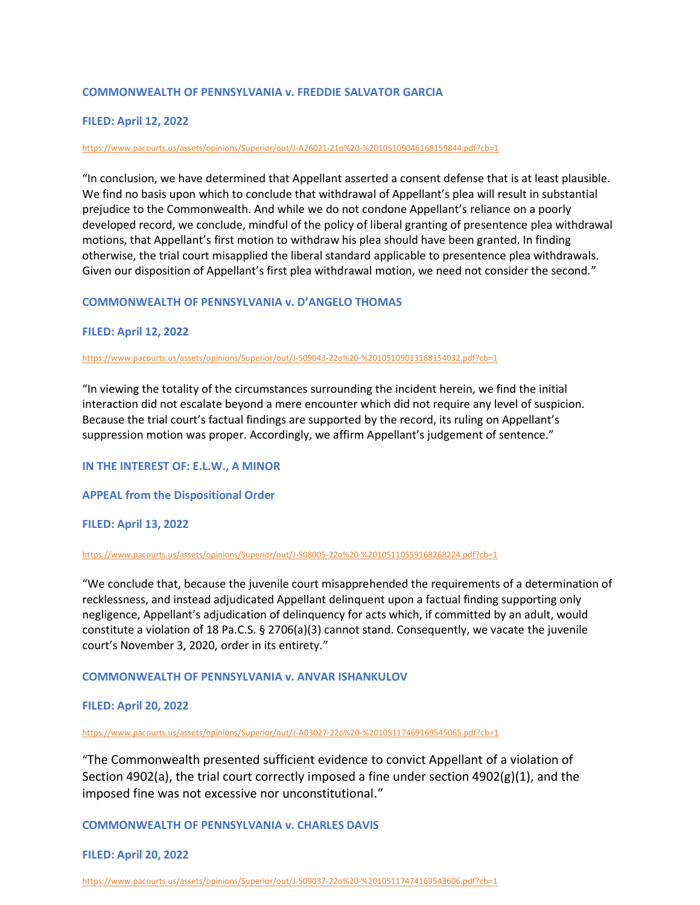#### **COMMONWEALTH OF PENNSYLVANIA v. FREDDIE SALVATOR GARCIA**

#### **FILED: April 12, 2022**

#### <https://www.pacourts.us/assets/opinions/Superior/out/J-A26021-21o%20-%20105109046168159844.pdf?cb=1>

"In conclusion, we have determined that Appellant asserted a consent defense that is at least plausible. We find no basis upon which to conclude that withdrawal of Appellant's plea will result in substantial prejudice to the Commonwealth. And while we do not condone Appellant's reliance on a poorly developed record, we conclude, mindful of the policy of liberal granting of presentence plea withdrawal motions, that Appellant's first motion to withdraw his plea should have been granted. In finding otherwise, the trial court misapplied the liberal standard applicable to presentence plea withdrawals. Given our disposition of Appellant's first plea withdrawal motion, we need not consider the second."

#### **COMMONWEALTH OF PENNSYLVANIA v. D'ANGELO THOMAS**

#### **FILED: April 12, 2022**

#### <https://www.pacourts.us/assets/opinions/Superior/out/J-S09043-22o%20-%20105109013168154032.pdf?cb=1>

"In viewing the totality of the circumstances surrounding the incident herein, we find the initial interaction did not escalate beyond a mere encounter which did not require any level of suspicion. Because the trial court's factual findings are supported by the record, its ruling on Appellant's suppression motion was proper. Accordingly, we affirm Appellant's judgement of sentence."

#### **IN THE INTEREST OF: E.L.W., A MINOR**

#### **APPEAL from the Dispositional Order**

#### **FILED: April 13, 2022**

#### <https://www.pacourts.us/assets/opinions/Superior/out/J-S08005-22o%20-%20105110559168268224.pdf?cb=1>

"We conclude that, because the juvenile court misapprehended the requirements of a determination of recklessness, and instead adjudicated Appellant delinquent upon a factual finding supporting only negligence, Appellant's adjudication of delinquency for acts which, if committed by an adult, would constitute a violation of 18 Pa.C.S. § 2706(a)(3) cannot stand. Consequently, we vacate the juvenile court's November 3, 2020, order in its entirety."

#### **COMMONWEALTH OF PENNSYLVANIA v. ANVAR ISHANKULOV**

#### **FILED: April 20, 2022**

#### <https://www.pacourts.us/assets/opinions/Superior/out/J-A03027-22o%20-%20105117469169545065.pdf?cb=1>

"The Commonwealth presented sufficient evidence to convict Appellant of a violation of Section 4902(a), the trial court correctly imposed a fine under section  $4902(g)(1)$ , and the imposed fine was not excessive nor unconstitutional."

#### **COMMONWEALTH OF PENNSYLVANIA v. CHARLES DAVIS**

#### **FILED: April 20, 2022**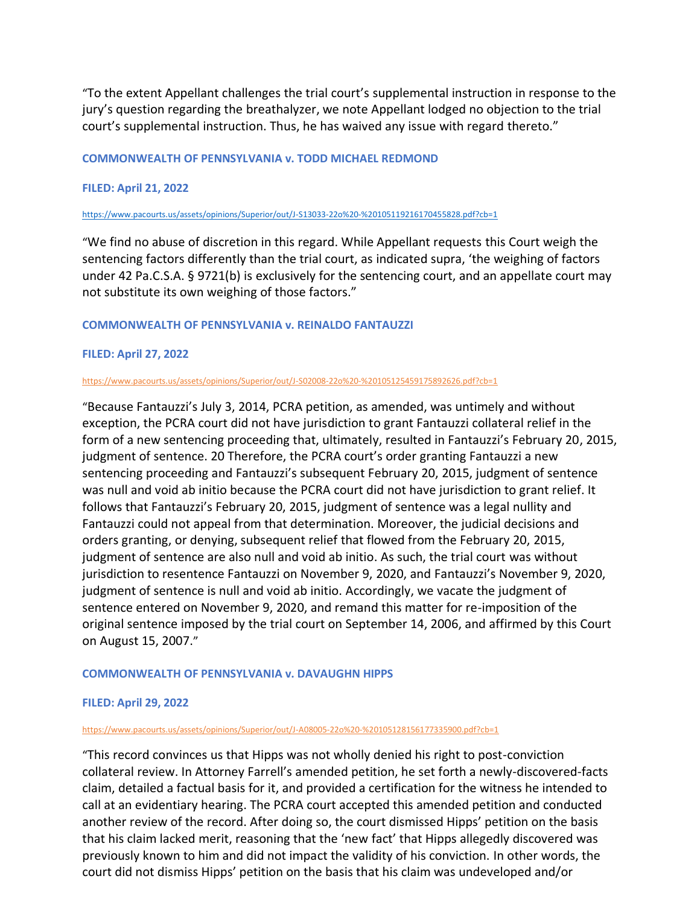"To the extent Appellant challenges the trial court's supplemental instruction in response to the jury's question regarding the breathalyzer, we note Appellant lodged no objection to the trial court's supplemental instruction. Thus, he has waived any issue with regard thereto."

#### **COMMONWEALTH OF PENNSYLVANIA v. TODD MICHAEL REDMOND**

### **FILED: April 21, 2022**

#### <https://www.pacourts.us/assets/opinions/Superior/out/J-S13033-22o%20-%20105119216170455828.pdf?cb=1>

"We find no abuse of discretion in this regard. While Appellant requests this Court weigh the sentencing factors differently than the trial court, as indicated supra, 'the weighing of factors under 42 Pa.C.S.A. § 9721(b) is exclusively for the sentencing court, and an appellate court may not substitute its own weighing of those factors."

#### **COMMONWEALTH OF PENNSYLVANIA v. REINALDO FANTAUZZI**

#### **FILED: April 27, 2022**

#### <https://www.pacourts.us/assets/opinions/Superior/out/J-S02008-22o%20-%20105125459175892626.pdf?cb=1>

"Because Fantauzzi's July 3, 2014, PCRA petition, as amended, was untimely and without exception, the PCRA court did not have jurisdiction to grant Fantauzzi collateral relief in the form of a new sentencing proceeding that, ultimately, resulted in Fantauzzi's February 20, 2015, judgment of sentence. 20 Therefore, the PCRA court's order granting Fantauzzi a new sentencing proceeding and Fantauzzi's subsequent February 20, 2015, judgment of sentence was null and void ab initio because the PCRA court did not have jurisdiction to grant relief. It follows that Fantauzzi's February 20, 2015, judgment of sentence was a legal nullity and Fantauzzi could not appeal from that determination. Moreover, the judicial decisions and orders granting, or denying, subsequent relief that flowed from the February 20, 2015, judgment of sentence are also null and void ab initio. As such, the trial court was without jurisdiction to resentence Fantauzzi on November 9, 2020, and Fantauzzi's November 9, 2020, judgment of sentence is null and void ab initio. Accordingly, we vacate the judgment of sentence entered on November 9, 2020, and remand this matter for re-imposition of the original sentence imposed by the trial court on September 14, 2006, and affirmed by this Court on August 15, 2007."

#### **COMMONWEALTH OF PENNSYLVANIA v. DAVAUGHN HIPPS**

### **FILED: April 29, 2022**

#### <https://www.pacourts.us/assets/opinions/Superior/out/J-A08005-22o%20-%20105128156177335900.pdf?cb=1>

"This record convinces us that Hipps was not wholly denied his right to post-conviction collateral review. In Attorney Farrell's amended petition, he set forth a newly-discovered-facts claim, detailed a factual basis for it, and provided a certification for the witness he intended to call at an evidentiary hearing. The PCRA court accepted this amended petition and conducted another review of the record. After doing so, the court dismissed Hipps' petition on the basis that his claim lacked merit, reasoning that the 'new fact' that Hipps allegedly discovered was previously known to him and did not impact the validity of his conviction. In other words, the court did not dismiss Hipps' petition on the basis that his claim was undeveloped and/or